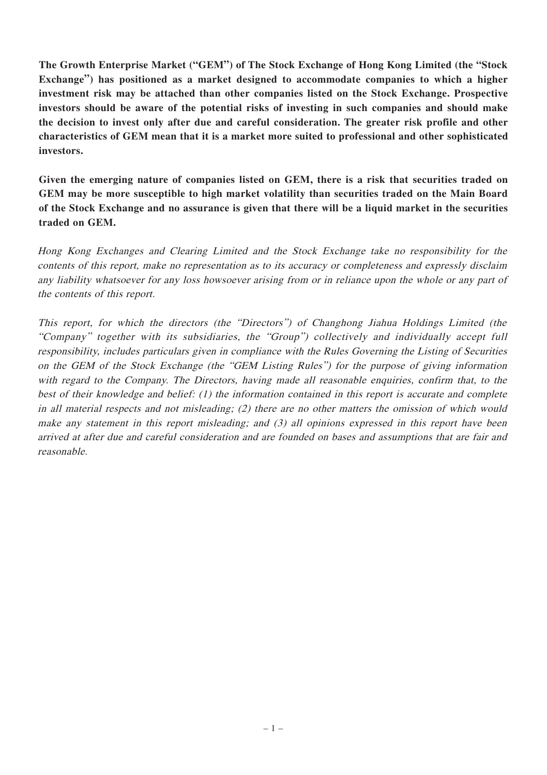**The Growth Enterprise Market ("GEM") of The Stock Exchange of Hong Kong Limited (the "Stock Exchange") has positioned as a market designed to accommodate companies to which a higher investment risk may be attached than other companies listed on the Stock Exchange. Prospective investors should be aware of the potential risks of investing in such companies and should make the decision to invest only after due and careful consideration. The greater risk profile and other characteristics of GEM mean that it is a market more suited to professional and other sophisticated investors.**

**Given the emerging nature of companies listed on GEM, there is a risk that securities traded on GEM may be more susceptible to high market volatility than securities traded on the Main Board** of the Stock Exchange and no assurance is given that there will be a liquid market in the securities **traded on GEM.**

Hong Kong Exchanges and Clearing Limited and the Stock Exchange take no responsibility for the contents of this report, make no representation as to its accuracy or completeness and expressly disclaim any liability whatsoever for any loss howsoever arising from or in reliance upon the whole or any part of the contents of this report.

This report, for which the directors (the "Directors") of Changhong Jiahua Holdings Limited (the "Company" together with its subsidiaries, the "Group") collectively and individually accept full responsibility, includes particulars given in compliance with the Rules Governing the Listing of Securities on the GEM of the Stock Exchange (the "GEM Listing Rules") for the purpose of giving information with regard to the Company. The Directors, having made all reasonable enquiries, confirm that, to the best of their knowledge and belief: (1) the information contained in this report is accurate and complete in all material respects and not misleading; (2) there are no other matters the omission of which would make any statement in this report misleading; and (3) all opinions expressed in this report have been arrived at after due and careful consideration and are founded on bases and assumptions that are fair and reasonable.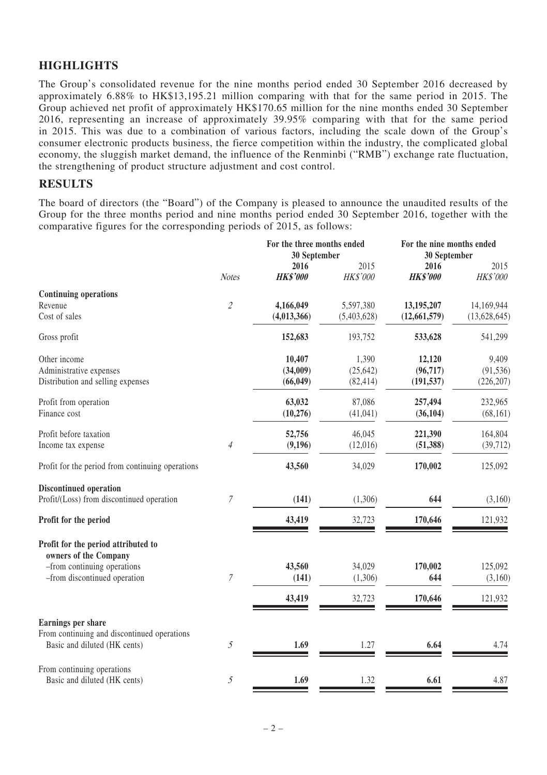# **HIGHLIGHTS**

The Group's consolidated revenue for the nine months period ended 30 September 2016 decreased by approximately 6.88% to HK\$13,195.21 million comparing with that for the same period in 2015. The Group achieved net profit of approximately HK\$170.65 million for the nine months ended 30 September 2016, representing an increase of approximately 39.95% comparing with that for the same period in 2015. This was due to a combination of various factors, including the scale down of the Group's consumer electronic products business, the fierce competition within the industry, the complicated global economy, the sluggish market demand, the influence of the Renminbi ("RMB") exchange rate fluctuation, the strengthening of product structure adjustment and cost control.

## **RESULTS**

The board of directors (the "Board") of the Company is pleased to announce the unaudited results of the Group for the three months period and nine months period ended 30 September 2016, together with the comparative figures for the corresponding periods of 2015, as follows:

|                                                             |                             | For the three months ended<br>30 September |                 |                 | For the nine months ended<br>30 September |  |
|-------------------------------------------------------------|-----------------------------|--------------------------------------------|-----------------|-----------------|-------------------------------------------|--|
|                                                             |                             | 2016                                       | 2015            | 2016            | 2015                                      |  |
|                                                             | <b>Notes</b>                | <b>HK\$'000</b>                            | <b>HK\$'000</b> | <b>HK\$'000</b> | <b>HK\$'000</b>                           |  |
| <b>Continuing operations</b>                                |                             |                                            |                 |                 |                                           |  |
| Revenue                                                     | $\mathcal{L}_{\mathcal{L}}$ | 4,166,049                                  | 5,597,380       | 13,195,207      | 14,169,944                                |  |
| Cost of sales                                               |                             | (4,013,366)                                | (5,403,628)     | (12, 661, 579)  | (13,628,645)                              |  |
| Gross profit                                                |                             | 152,683                                    | 193,752         | 533,628         | 541,299                                   |  |
| Other income                                                |                             | 10,407                                     | 1,390           | 12,120          | 9,409                                     |  |
| Administrative expenses                                     |                             | (34,009)                                   | (25, 642)       | (96, 717)       | (91, 536)                                 |  |
| Distribution and selling expenses                           |                             | (66, 049)                                  | (82, 414)       | (191, 537)      | (226, 207)                                |  |
| Profit from operation                                       |                             | 63,032                                     | 87,086          | 257,494         | 232,965                                   |  |
| Finance cost                                                |                             | (10,276)                                   | (41, 041)       | (36, 104)       | (68, 161)                                 |  |
| Profit before taxation                                      |                             | 52,756                                     | 46,045          | 221,390         | 164,804                                   |  |
| Income tax expense                                          | $\overline{4}$              | (9,196)                                    | (12,016)        | (51, 388)       | (39, 712)                                 |  |
| Profit for the period from continuing operations            |                             | 43,560                                     | 34,029          | 170,002         | 125,092                                   |  |
| <b>Discontinued operation</b>                               |                             |                                            |                 |                 |                                           |  |
| Profit/(Loss) from discontinued operation                   | 7                           | (141)                                      | (1,306)         | 644             | (3,160)                                   |  |
| Profit for the period                                       |                             | 43,419                                     | 32,723          | 170,646         | 121,932                                   |  |
| Profit for the period attributed to                         |                             |                                            |                 |                 |                                           |  |
| owners of the Company                                       |                             | 43,560                                     | 34,029          | 170,002         | 125,092                                   |  |
| -from continuing operations<br>-from discontinued operation | 7                           | (141)                                      | (1,306)         | 644             | (3,160)                                   |  |
|                                                             |                             |                                            |                 |                 |                                           |  |
|                                                             |                             | 43,419                                     | 32,723          | 170,646         | 121,932                                   |  |
| Earnings per share                                          |                             |                                            |                 |                 |                                           |  |
| From continuing and discontinued operations                 |                             |                                            |                 |                 |                                           |  |
| Basic and diluted (HK cents)                                | 5                           | 1.69                                       | 1.27            | 6.64            | 4.74                                      |  |
| From continuing operations                                  |                             |                                            |                 |                 |                                           |  |
| Basic and diluted (HK cents)                                | 5                           | 1.69                                       | 1.32            | 6.61            | 4.87                                      |  |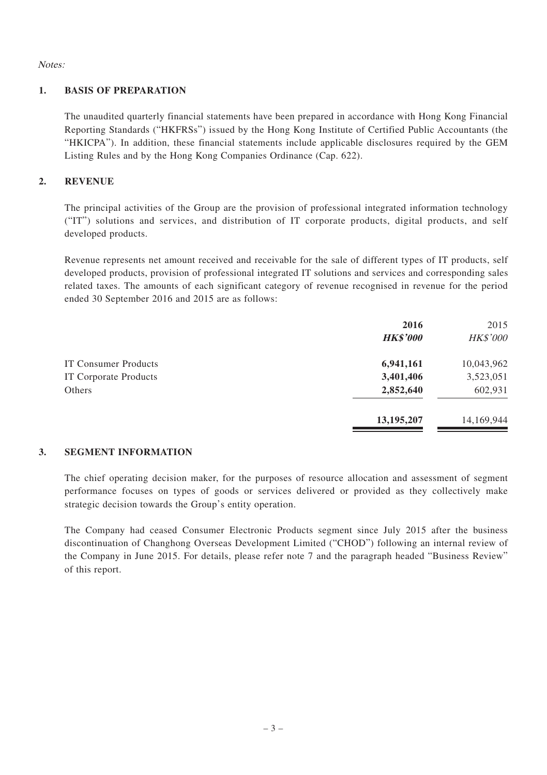Notes:

## **1. BASIS OF PREPARATION**

The unaudited quarterly financial statements have been prepared in accordance with Hong Kong Financial Reporting Standards ("HKFRSs") issued by the Hong Kong Institute of Certified Public Accountants (the "HKICPA"). In addition, these financial statements include applicable disclosures required by the GEM Listing Rules and by the Hong Kong Companies Ordinance (Cap. 622).

## **2. REVENUE**

The principal activities of the Group are the provision of professional integrated information technology ("IT") solutions and services, and distribution of IT corporate products, digital products, and self developed products.

Revenue represents net amount received and receivable for the sale of different types of IT products, self developed products, provision of professional integrated IT solutions and services and corresponding sales related taxes. The amounts of each significant category of revenue recognised in revenue for the period ended 30 September 2016 and 2015 are as follows:

|                              | 2016            | 2015            |
|------------------------------|-----------------|-----------------|
|                              | <b>HK\$'000</b> | <b>HK\$'000</b> |
| <b>IT Consumer Products</b>  | 6,941,161       | 10,043,962      |
| <b>IT Corporate Products</b> | 3,401,406       | 3,523,051       |
| Others                       | 2,852,640       | 602,931         |
|                              | 13, 195, 207    | 14,169,944      |

#### **3. SEGMENT INFORMATION**

The chief operating decision maker, for the purposes of resource allocation and assessment of segment performance focuses on types of goods or services delivered or provided as they collectively make strategic decision towards the Group's entity operation.

The Company had ceased Consumer Electronic Products segment since July 2015 after the business discontinuation of Changhong Overseas Development Limited ("CHOD") following an internal review of the Company in June 2015. For details, please refer note 7 and the paragraph headed "Business Review" of this report.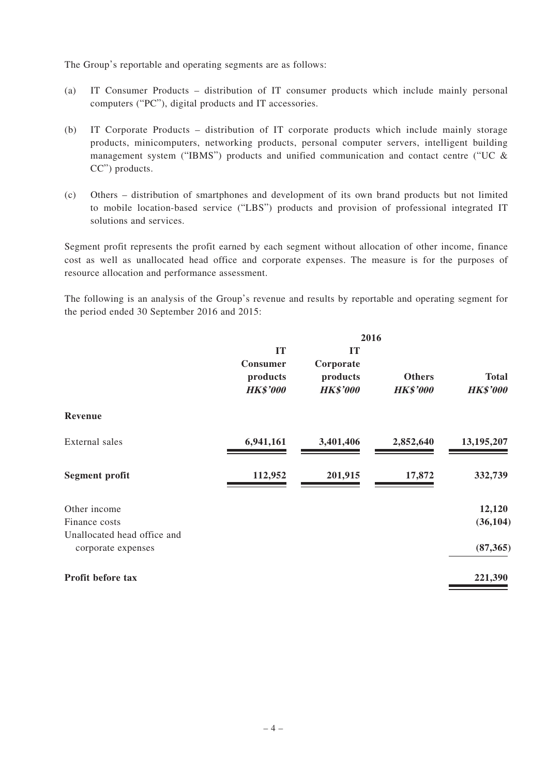The Group's reportable and operating segments are as follows:

- (a) IT Consumer Products distribution of IT consumer products which include mainly personal computers ("PC"), digital products and IT accessories.
- (b) IT Corporate Products distribution of IT corporate products which include mainly storage products, minicomputers, networking products, personal computer servers, intelligent building management system ("IBMS") products and unified communication and contact centre ("UC & CC") products.
- (c) Others distribution of smartphones and development of its own brand products but not limited to mobile location-based service ("LBS") products and provision of professional integrated IT solutions and services.

Segment profit represents the profit earned by each segment without allocation of other income, finance cost as well as unallocated head office and corporate expenses. The measure is for the purposes of resource allocation and performance assessment.

The following is an analysis of the Group's revenue and results by reportable and operating segment for the period ended 30 September 2016 and 2015:

|                                                   |                                               |                                                       | 2016                             |                                 |
|---------------------------------------------------|-----------------------------------------------|-------------------------------------------------------|----------------------------------|---------------------------------|
|                                                   | IT<br>Consumer<br>products<br><b>HK\$'000</b> | <b>IT</b><br>Corporate<br>products<br><b>HK\$'000</b> | <b>Others</b><br><b>HK\$'000</b> | <b>Total</b><br><b>HK\$'000</b> |
| Revenue                                           |                                               |                                                       |                                  |                                 |
| External sales                                    | 6,941,161                                     | 3,401,406                                             | 2,852,640                        | 13,195,207                      |
| Segment profit                                    | 112,952                                       | 201,915                                               | 17,872                           | 332,739                         |
| Other income                                      |                                               |                                                       |                                  | 12,120                          |
| Finance costs                                     |                                               |                                                       |                                  | (36, 104)                       |
| Unallocated head office and<br>corporate expenses |                                               |                                                       |                                  | (87, 365)                       |
| Profit before tax                                 |                                               |                                                       |                                  | 221,390                         |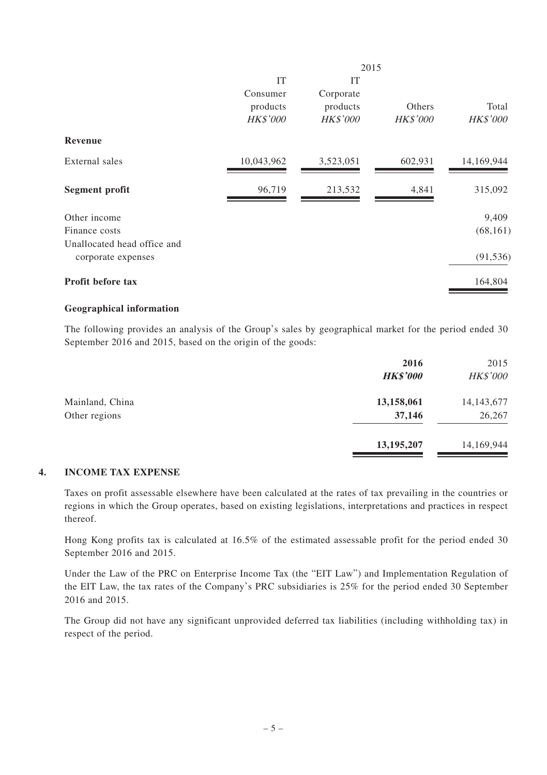|                             |            | 2015            |                 |                 |  |
|-----------------------------|------------|-----------------|-----------------|-----------------|--|
|                             | IT         | IT              |                 |                 |  |
|                             | Consumer   | Corporate       |                 |                 |  |
|                             | products   | products        | Others          | Total           |  |
|                             | HK\$'000   | <b>HK\$'000</b> | <b>HK\$'000</b> | <b>HK\$'000</b> |  |
| Revenue                     |            |                 |                 |                 |  |
| External sales              | 10,043,962 | 3,523,051       | 602,931         | 14,169,944      |  |
|                             |            |                 |                 |                 |  |
| Segment profit              | 96,719     | 213,532         | 4,841           | 315,092         |  |
| Other income                |            |                 |                 | 9,409           |  |
| Finance costs               |            |                 |                 | (68, 161)       |  |
| Unallocated head office and |            |                 |                 |                 |  |
| corporate expenses          |            |                 |                 | (91, 536)       |  |
| Profit before tax           |            |                 |                 | 164,804         |  |
|                             |            |                 |                 |                 |  |

### **Geographical information**

The following provides an analysis of the Group's sales by geographical market for the period ended 30 September 2016 and 2015, based on the origin of the goods:

|                 | 2016<br><b>HK\$'000</b> | 2015<br><b>HK\$'000</b> |
|-----------------|-------------------------|-------------------------|
| Mainland, China | 13,158,061              | 14, 143, 677            |
| Other regions   | 37,146                  | 26,267                  |
|                 | 13, 195, 207            | 14,169,944              |

## **4. INCOME TAX EXPENSE**

Taxes on profit assessable elsewhere have been calculated at the rates of tax prevailing in the countries or regions in which the Group operates, based on existing legislations, interpretations and practices in respect thereof.

Hong Kong profits tax is calculated at 16.5% of the estimated assessable profit for the period ended 30 September 2016 and 2015.

Under the Law of the PRC on Enterprise Income Tax (the "EIT Law") and Implementation Regulation of the EIT Law, the tax rates of the Company's PRC subsidiaries is 25% for the period ended 30 September 2016 and 2015.

The Group did not have any significant unprovided deferred tax liabilities (including withholding tax) in respect of the period.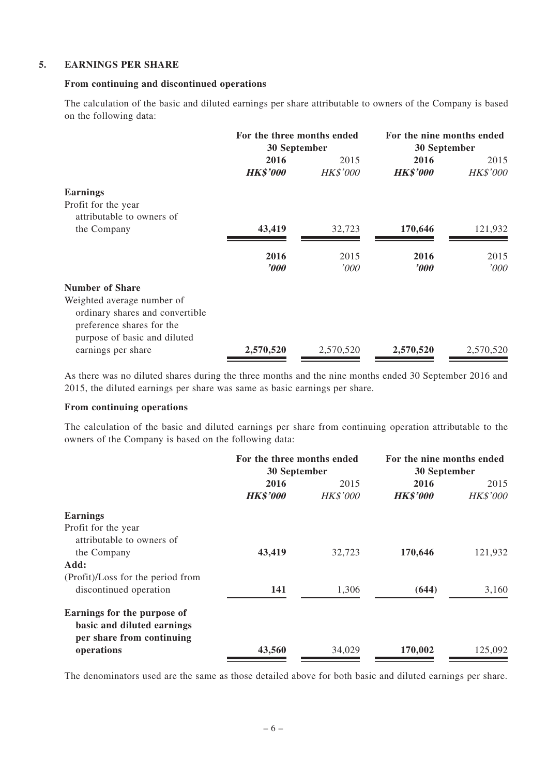### **5. EARNINGS PER SHARE**

#### **From continuing and discontinued operations**

The calculation of the basic and diluted earnings per share attributable to owners of the Company is based on the following data:

|                                 | For the three months ended |                 | For the nine months ended |                 |
|---------------------------------|----------------------------|-----------------|---------------------------|-----------------|
|                                 | 30 September               |                 | 30 September              |                 |
|                                 | 2016                       | 2015            | 2016                      | 2015            |
|                                 | <b>HK\$'000</b>            | <b>HK\$'000</b> | <b>HK\$'000</b>           | <b>HK\$'000</b> |
| Earnings                        |                            |                 |                           |                 |
| Profit for the year             |                            |                 |                           |                 |
| attributable to owners of       |                            |                 |                           |                 |
| the Company                     | 43,419                     | 32.723          | 170,646                   | 121,932         |
|                                 |                            |                 |                           |                 |
|                                 | 2016                       | 2015            | 2016                      | 2015            |
|                                 | $\theta$                   | '000            | $\boldsymbol{v}$          | '000            |
| Number of Share                 |                            |                 |                           |                 |
| Weighted average number of      |                            |                 |                           |                 |
| ordinary shares and convertible |                            |                 |                           |                 |
| preference shares for the       |                            |                 |                           |                 |
| purpose of basic and diluted    |                            |                 |                           |                 |
| earnings per share              | 2,570,520                  | 2.570.520       | 2,570,520                 | 2.570.520       |

As there was no diluted shares during the three months and the nine months ended 30 September 2016 and 2015, the diluted earnings per share was same as basic earnings per share.

#### **From continuing operations**

The calculation of the basic and diluted earnings per share from continuing operation attributable to the owners of the Company is based on the following data:

|                                                                                        | For the three months ended<br>30 September |                         | For the nine months ended<br>30 September |                         |
|----------------------------------------------------------------------------------------|--------------------------------------------|-------------------------|-------------------------------------------|-------------------------|
|                                                                                        | 2016<br><b>HK\$'000</b>                    | 2015<br><b>HK\$'000</b> | 2016<br><b>HK\$'000</b>                   | 2015<br><b>HK\$'000</b> |
| Earnings                                                                               |                                            |                         |                                           |                         |
| Profit for the year<br>attributable to owners of                                       |                                            |                         |                                           |                         |
| the Company                                                                            | 43,419                                     | 32,723                  | 170,646                                   | 121,932                 |
| Add:                                                                                   |                                            |                         |                                           |                         |
| (Profit)/Loss for the period from<br>discontinued operation                            | 141                                        | 1,306                   | (644)                                     | 3,160                   |
| Earnings for the purpose of<br>basic and diluted earnings<br>per share from continuing |                                            |                         |                                           |                         |
| operations                                                                             | 43,560                                     | 34,029                  | 170,002                                   | 125,092                 |

The denominators used are the same as those detailed above for both basic and diluted earnings per share.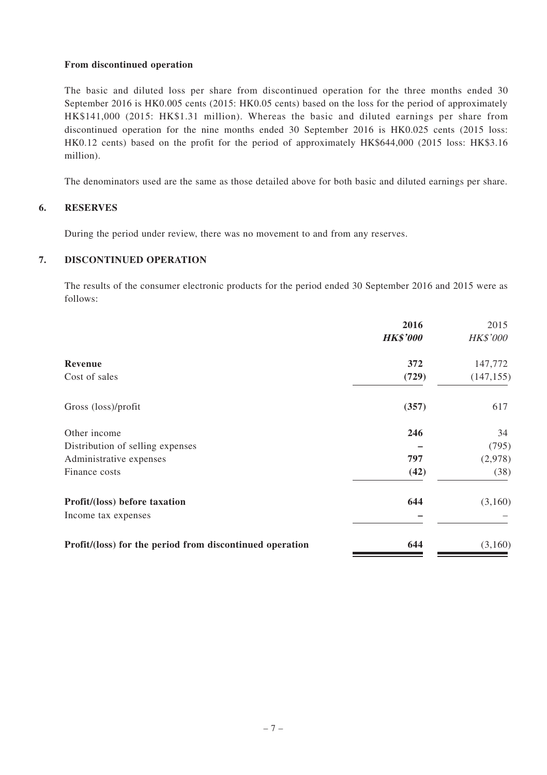#### **From discontinued operation**

The basic and diluted loss per share from discontinued operation for the three months ended 30 September 2016 is HK0.005 cents (2015: HK0.05 cents) based on the loss for the period of approximately HK\$141,000 (2015: HK\$1.31 million). Whereas the basic and diluted earnings per share from discontinued operation for the nine months ended 30 September 2016 is HK0.025 cents (2015 loss: HK0.12 cents) based on the profit for the period of approximately HK\$644,000 (2015 loss: HK\$3.16 million).

The denominators used are the same as those detailed above for both basic and diluted earnings per share.

## **6. RESERVES**

During the period under review, there was no movement to and from any reserves.

## **7. DISCONTINUED OPERATION**

The results of the consumer electronic products for the period ended 30 September 2016 and 2015 were as follows:

|                                                          | 2016            | 2015            |
|----------------------------------------------------------|-----------------|-----------------|
|                                                          | <b>HK\$'000</b> | <b>HK\$'000</b> |
| Revenue                                                  | 372             | 147,772         |
| Cost of sales                                            | (729)           | (147, 155)      |
| Gross (loss)/profit                                      | (357)           | 617             |
| Other income                                             | 246             | 34              |
| Distribution of selling expenses                         |                 | (795)           |
| Administrative expenses                                  | 797             | (2,978)         |
| Finance costs                                            | (42)            | (38)            |
| Profit/(loss) before taxation                            | 644             | (3,160)         |
| Income tax expenses                                      |                 |                 |
| Profit/(loss) for the period from discontinued operation | 644             | (3,160)         |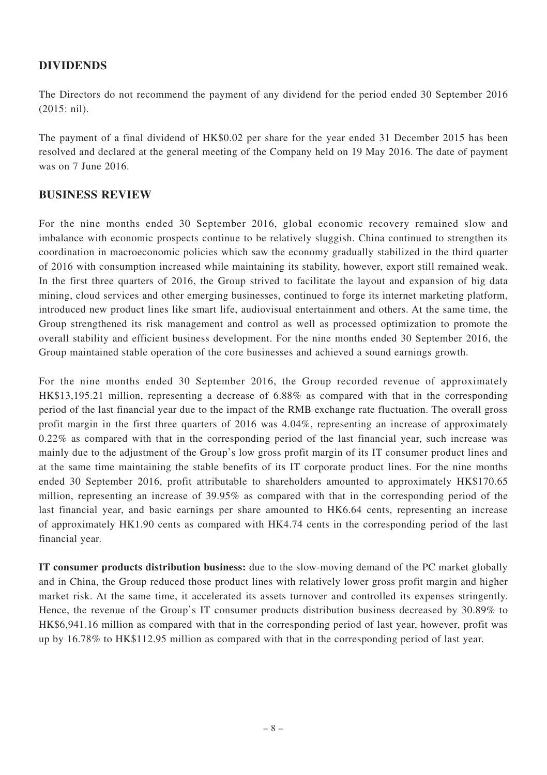# **DIVIDENDS**

The Directors do not recommend the payment of any dividend for the period ended 30 September 2016 (2015: nil).

The payment of a final dividend of HK\$0.02 per share for the year ended 31 December 2015 has been resolved and declared at the general meeting of the Company held on 19 May 2016. The date of payment was on 7 June 2016.

## **BUSINESS REVIEW**

For the nine months ended 30 September 2016, global economic recovery remained slow and imbalance with economic prospects continue to be relatively sluggish. China continued to strengthen its coordination in macroeconomic policies which saw the economy gradually stabilized in the third quarter of 2016 with consumption increased while maintaining its stability, however, export still remained weak. In the first three quarters of 2016, the Group strived to facilitate the layout and expansion of big data mining, cloud services and other emerging businesses, continued to forge its internet marketing platform, introduced new product lines like smart life, audiovisual entertainment and others. At the same time, the Group strengthened its risk management and control as well as processed optimization to promote the overall stability and efficient business development. For the nine months ended 30 September 2016, the Group maintained stable operation of the core businesses and achieved a sound earnings growth.

For the nine months ended 30 September 2016, the Group recorded revenue of approximately HK\$13,195.21 million, representing a decrease of 6.88% as compared with that in the corresponding period of the last financial year due to the impact of the RMB exchange rate fluctuation. The overall gross profit margin in the first three quarters of 2016 was 4.04%, representing an increase of approximately 0.22% as compared with that in the corresponding period of the last financial year, such increase was mainly due to the adjustment of the Group's low gross profit margin of its IT consumer product lines and at the same time maintaining the stable benefits of its IT corporate product lines. For the nine months ended 30 September 2016, profit attributable to shareholders amounted to approximately HK\$170.65 million, representing an increase of 39.95% as compared with that in the corresponding period of the last financial year, and basic earnings per share amounted to HK6.64 cents, representing an increase of approximately HK1.90 cents as compared with HK4.74 cents in the corresponding period of the last financial year.

**IT consumer products distribution business:** due to the slow-moving demand of the PC market globally and in China, the Group reduced those product lines with relatively lower gross profit margin and higher market risk. At the same time, it accelerated its assets turnover and controlled its expenses stringently. Hence, the revenue of the Group's IT consumer products distribution business decreased by 30.89% to HK\$6,941.16 million as compared with that in the corresponding period of last year, however, profit was up by 16.78% to HK\$112.95 million as compared with that in the corresponding period of last year.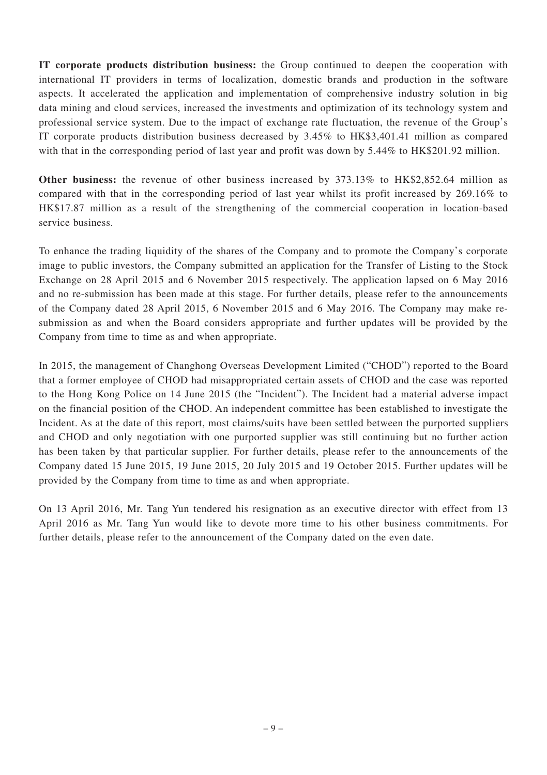**IT corporate products distribution business:** the Group continued to deepen the cooperation with international IT providers in terms of localization, domestic brands and production in the software aspects. It accelerated the application and implementation of comprehensive industry solution in big data mining and cloud services, increased the investments and optimization of its technology system and professional service system. Due to the impact of exchange rate fluctuation, the revenue of the Group's IT corporate products distribution business decreased by 3.45% to HK\$3,401.41 million as compared with that in the corresponding period of last year and profit was down by 5.44% to HK\$201.92 million.

**Other business:** the revenue of other business increased by 373.13% to HK\$2,852.64 million as compared with that in the corresponding period of last year whilst its profit increased by 269.16% to HK\$17.87 million as a result of the strengthening of the commercial cooperation in location-based service business.

To enhance the trading liquidity of the shares of the Company and to promote the Company's corporate image to public investors, the Company submitted an application for the Transfer of Listing to the Stock Exchange on 28 April 2015 and 6 November 2015 respectively. The application lapsed on 6 May 2016 and no re-submission has been made at this stage. For further details, please refer to the announcements of the Company dated 28 April 2015, 6 November 2015 and 6 May 2016. The Company may make resubmission as and when the Board considers appropriate and further updates will be provided by the Company from time to time as and when appropriate.

In 2015, the management of Changhong Overseas Development Limited ("CHOD") reported to the Board that a former employee of CHOD had misappropriated certain assets of CHOD and the case was reported to the Hong Kong Police on 14 June 2015 (the "Incident"). The Incident had a material adverse impact on the financial position of the CHOD. An independent committee has been established to investigate the Incident. As at the date of this report, most claims/suits have been settled between the purported suppliers and CHOD and only negotiation with one purported supplier was still continuing but no further action has been taken by that particular supplier. For further details, please refer to the announcements of the Company dated 15 June 2015, 19 June 2015, 20 July 2015 and 19 October 2015. Further updates will be provided by the Company from time to time as and when appropriate.

On 13 April 2016, Mr. Tang Yun tendered his resignation as an executive director with effect from 13 April 2016 as Mr. Tang Yun would like to devote more time to his other business commitments. For further details, please refer to the announcement of the Company dated on the even date.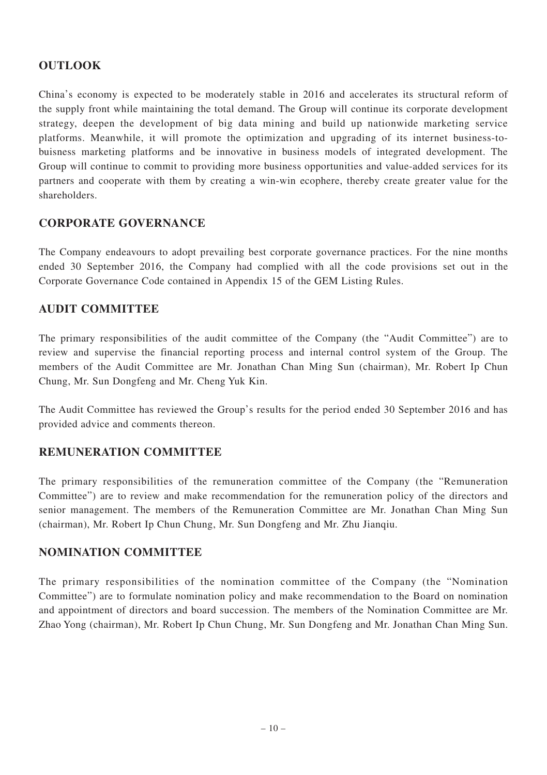# **OUTLOOK**

China's economy is expected to be moderately stable in 2016 and accelerates its structural reform of the supply front while maintaining the total demand. The Group will continue its corporate development strategy, deepen the development of big data mining and build up nationwide marketing service platforms. Meanwhile, it will promote the optimization and upgrading of its internet business-tobuisness marketing platforms and be innovative in business models of integrated development. The Group will continue to commit to providing more business opportunities and value-added services for its partners and cooperate with them by creating a win-win ecophere, thereby create greater value for the shareholders.

## **CORPORATE GOVERNANCE**

The Company endeavours to adopt prevailing best corporate governance practices. For the nine months ended 30 September 2016, the Company had complied with all the code provisions set out in the Corporate Governance Code contained in Appendix 15 of the GEM Listing Rules.

## **AUDIT COMMITTEE**

The primary responsibilities of the audit committee of the Company (the "Audit Committee") are to review and supervise the financial reporting process and internal control system of the Group. The members of the Audit Committee are Mr. Jonathan Chan Ming Sun (chairman), Mr. Robert Ip Chun Chung, Mr. Sun Dongfeng and Mr. Cheng Yuk Kin.

The Audit Committee has reviewed the Group's results for the period ended 30 September 2016 and has provided advice and comments thereon.

# **REMUNERATION COMMITTEE**

The primary responsibilities of the remuneration committee of the Company (the "Remuneration Committee") are to review and make recommendation for the remuneration policy of the directors and senior management. The members of the Remuneration Committee are Mr. Jonathan Chan Ming Sun (chairman), Mr. Robert Ip Chun Chung, Mr. Sun Dongfeng and Mr. Zhu Jianqiu.

## **NOMINATION COMMITTEE**

The primary responsibilities of the nomination committee of the Company (the "Nomination Committee") are to formulate nomination policy and make recommendation to the Board on nomination and appointment of directors and board succession. The members of the Nomination Committee are Mr. Zhao Yong (chairman), Mr. Robert Ip Chun Chung, Mr. Sun Dongfeng and Mr. Jonathan Chan Ming Sun.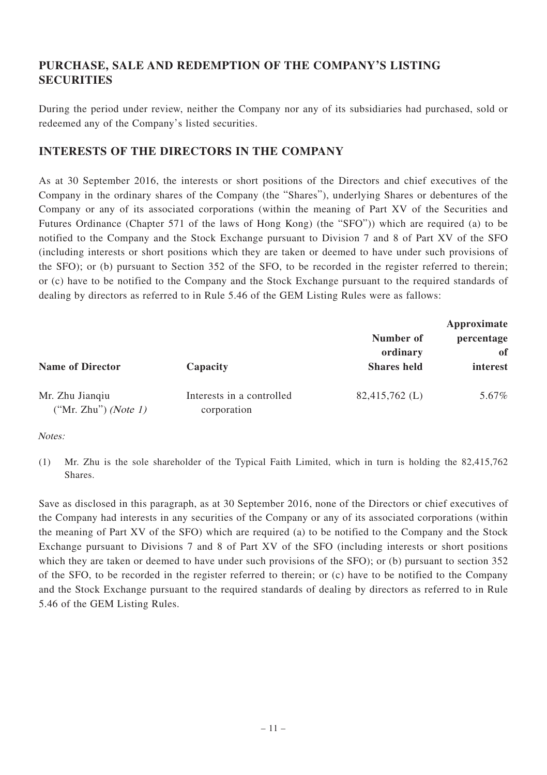# **PURCHASE, SALE AND REDEMPTION OF THE COMPANY'S LISTING SECURITIES**

During the period under review, neither the Company nor any of its subsidiaries had purchased, sold or redeemed any of the Company's listed securities.

# **INTERESTS OF THE DIRECTORS IN THE COMPANY**

As at 30 September 2016, the interests or short positions of the Directors and chief executives of the Company in the ordinary shares of the Company (the "Shares"), underlying Shares or debentures of the Company or any of its associated corporations (within the meaning of Part XV of the Securities and Futures Ordinance (Chapter 571 of the laws of Hong Kong) (the "SFO")) which are required (a) to be notified to the Company and the Stock Exchange pursuant to Division 7 and 8 of Part XV of the SFO (including interests or short positions which they are taken or deemed to have under such provisions of the SFO); or (b) pursuant to Section 352 of the SFO, to be recorded in the register referred to therein; or (c) have to be notified to the Company and the Stock Exchange pursuant to the required standards of dealing by directors as referred to in Rule 5.46 of the GEM Listing Rules were as fallows:

| <b>Name of Director</b>                    | Capacity                                 | Number of<br>ordinary<br><b>Shares</b> held | Approximate<br>percentage<br>оf<br>interest |
|--------------------------------------------|------------------------------------------|---------------------------------------------|---------------------------------------------|
| Mr. Zhu Jiangiu<br>("Mr. Zhu") (Note $1$ ) | Interests in a controlled<br>corporation | $82,415,762$ (L)                            | 5.67%                                       |

Notes:

(1) Mr. Zhu is the sole shareholder of the Typical Faith Limited, which in turn is holding the 82,415,762 Shares.

Save as disclosed in this paragraph, as at 30 September 2016, none of the Directors or chief executives of the Company had interests in any securities of the Company or any of its associated corporations (within the meaning of Part XV of the SFO) which are required (a) to be notified to the Company and the Stock Exchange pursuant to Divisions 7 and 8 of Part XV of the SFO (including interests or short positions which they are taken or deemed to have under such provisions of the SFO); or (b) pursuant to section 352 of the SFO, to be recorded in the register referred to therein; or (c) have to be notified to the Company and the Stock Exchange pursuant to the required standards of dealing by directors as referred to in Rule 5.46 of the GEM Listing Rules.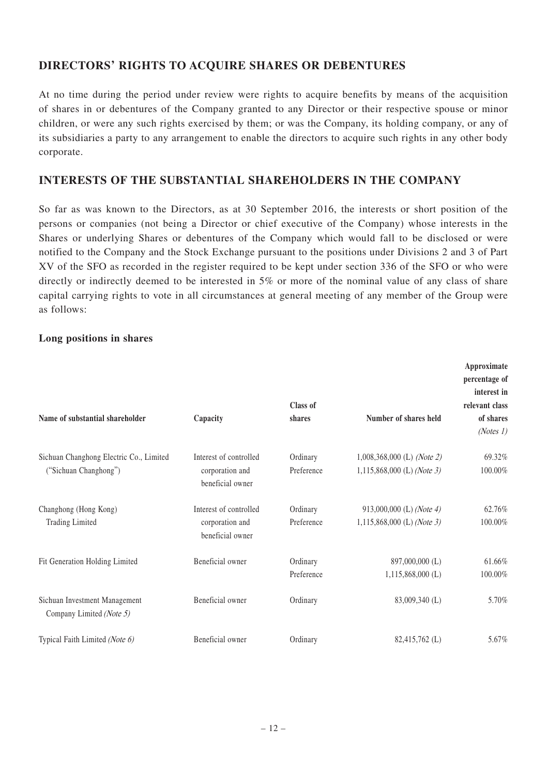# **DIRECTORS' RIGHTS TO ACQUIRE SHARES OR DEBENTURES**

At no time during the period under review were rights to acquire benefits by means of the acquisition of shares in or debentures of the Company granted to any Director or their respective spouse or minor children, or were any such rights exercised by them; or was the Company, its holding company, or any of its subsidiaries a party to any arrangement to enable the directors to acquire such rights in any other body corporate.

## **INTERESTS OF THE SUBSTANTIAL SHAREHOLDERS IN THE COMPANY**

So far as was known to the Directors, as at 30 September 2016, the interests or short position of the persons or companies (not being a Director or chief executive of the Company) whose interests in the Shares or underlying Shares or debentures of the Company which would fall to be disclosed or were notified to the Company and the Stock Exchange pursuant to the positions under Divisions 2 and 3 of Part XV of the SFO as recorded in the register required to be kept under section 336 of the SFO or who were directly or indirectly deemed to be interested in 5% or more of the nominal value of any class of share capital carrying rights to vote in all circumstances at general meeting of any member of the Group were as follows:

### **Long positions in shares**

| Name of substantial shareholder                                  | Capacity                                                      | Class of<br>shares     | Number of shares held                                      | Approximate<br>percentage of<br>interest in<br>relevant class<br>of shares<br>(Notes1) |
|------------------------------------------------------------------|---------------------------------------------------------------|------------------------|------------------------------------------------------------|----------------------------------------------------------------------------------------|
| Sichuan Changhong Electric Co., Limited<br>("Sichuan Changhong") | Interest of controlled<br>corporation and<br>beneficial owner | Ordinary<br>Preference | $1,008,368,000$ (L) (Note 2)<br>1,115,868,000 (L) (Note 3) | 69.32%<br>100.00%                                                                      |
| Changhong (Hong Kong)<br><b>Trading Limited</b>                  | Interest of controlled<br>corporation and<br>beneficial owner | Ordinary<br>Preference | 913,000,000 (L) (Note 4)<br>1,115,868,000 (L) (Note 3)     | 62.76%<br>100.00%                                                                      |
| Fit Generation Holding Limited                                   | Beneficial owner                                              | Ordinary<br>Preference | 897,000,000 (L)<br>$1,115,868,000$ (L)                     | 61.66%<br>100.00%                                                                      |
| Sichuan Investment Management<br>Company Limited (Note 5)        | Beneficial owner                                              | Ordinary               | 83,009,340 (L)                                             | 5.70%                                                                                  |
| Typical Faith Limited (Note 6)                                   | Beneficial owner                                              | Ordinary               | 82,415,762 (L)                                             | 5.67%                                                                                  |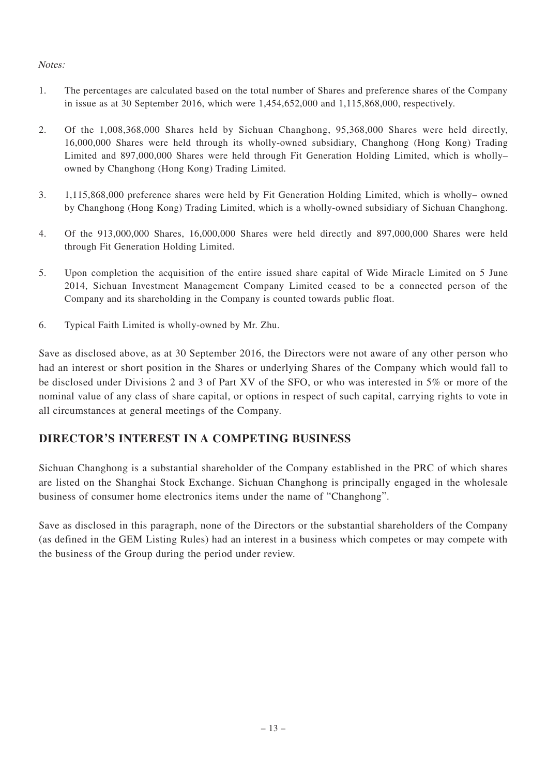## Notes:

- 1. The percentages are calculated based on the total number of Shares and preference shares of the Company in issue as at 30 September 2016, which were 1,454,652,000 and 1,115,868,000, respectively.
- 2. Of the 1,008,368,000 Shares held by Sichuan Changhong, 95,368,000 Shares were held directly, 16,000,000 Shares were held through its wholly-owned subsidiary, Changhong (Hong Kong) Trading Limited and 897,000,000 Shares were held through Fit Generation Holding Limited, which is wholly– owned by Changhong (Hong Kong) Trading Limited.
- 3. 1,115,868,000 preference shares were held by Fit Generation Holding Limited, which is wholly– owned by Changhong (Hong Kong) Trading Limited, which is a wholly-owned subsidiary of Sichuan Changhong.
- 4. Of the 913,000,000 Shares, 16,000,000 Shares were held directly and 897,000,000 Shares were held through Fit Generation Holding Limited.
- 5. Upon completion the acquisition of the entire issued share capital of Wide Miracle Limited on 5 June 2014, Sichuan Investment Management Company Limited ceased to be a connected person of the Company and its shareholding in the Company is counted towards public float.
- 6. Typical Faith Limited is wholly-owned by Mr. Zhu.

Save as disclosed above, as at 30 September 2016, the Directors were not aware of any other person who had an interest or short position in the Shares or underlying Shares of the Company which would fall to be disclosed under Divisions 2 and 3 of Part XV of the SFO, or who was interested in 5% or more of the nominal value of any class of share capital, or options in respect of such capital, carrying rights to vote in all circumstances at general meetings of the Company.

# **DIRECTOR'S INTEREST IN A COMPETING BUSINESS**

Sichuan Changhong is a substantial shareholder of the Company established in the PRC of which shares are listed on the Shanghai Stock Exchange. Sichuan Changhong is principally engaged in the wholesale business of consumer home electronics items under the name of "Changhong".

Save as disclosed in this paragraph, none of the Directors or the substantial shareholders of the Company (as defined in the GEM Listing Rules) had an interest in a business which competes or may compete with the business of the Group during the period under review.